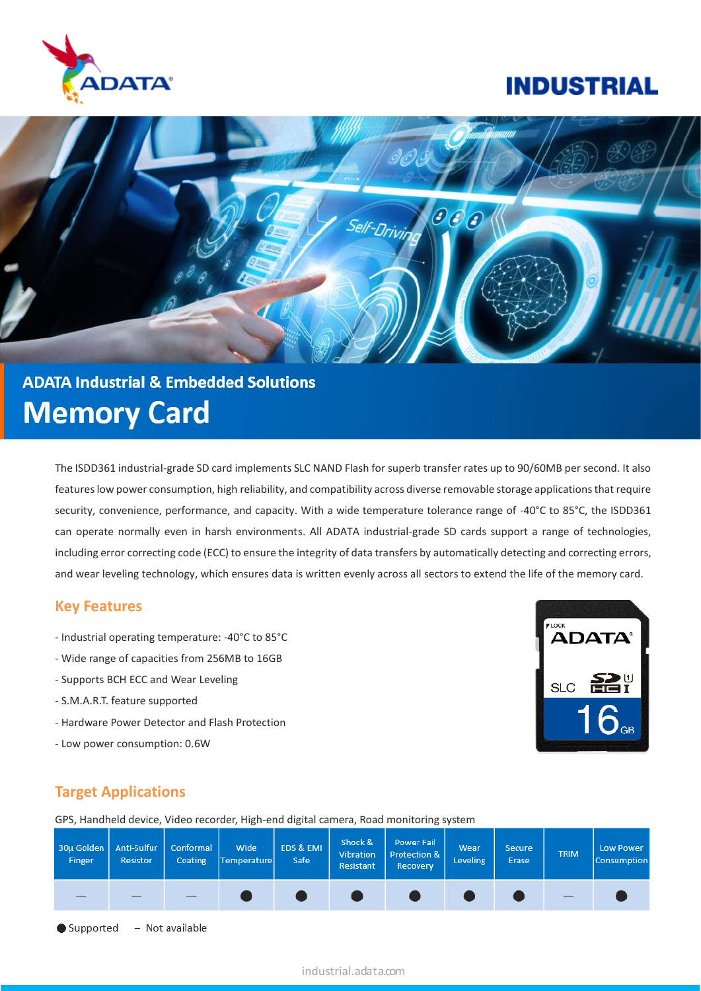

## **INDUSTRIAL**



# **ADATA Industrial & Embedded Solutions Memory Card**

The ISDD361 industrial-grade SD card implements SLC NAND Flash for superb transfer rates up to 90/60MB per second. It also features low power consumption, high reliability, and compatibility across diverse removable storage applications that require security, convenience, performance, and capacity. With a wide temperature tolerance range of -40°C to 85°C, the ISDD361 can operate normally even in harsh environments. All ADATA industrial-grade SD cards support a range of technologies, including error correcting code (ECC) to ensure the integrity of data transfers by automatically detecting and correcting errors, and wear leveling technology, which ensures data is written evenly across all sectors to extend the life of the memory card.

#### **Key Features**

- Industrial operating temperature: -40°C to 85°C
- Wide range of capacities from 256MB to 16GB
- Supports BCH ECC and Wear Leveling
- S.M.A.R.T. feature supported
- Hardware Power Detector and Flash Protection
- Low power consumption: 0.6W



#### **Target Applications**

GPS, Handheld device, Video recorder, High-end digital camera, Road monitoring system